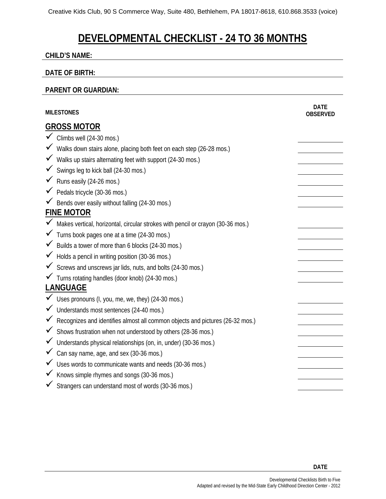# **DEVELOPMENTAL CHECKLIST - 24 TO 36 MONTHS**

#### **CHILD'S NAME:**

### **DATE OF BIRTH:**

### **PARENT OR GUARDIAN:**

|                    | <b>MILESTONES</b>                                                                 | <b>DATE</b><br><b>OBSERVED</b> |  |
|--------------------|-----------------------------------------------------------------------------------|--------------------------------|--|
| <b>GROSS MOTOR</b> |                                                                                   |                                |  |
|                    | $\checkmark$ Climbs well (24-30 mos.)                                             |                                |  |
|                    | √ Walks down stairs alone, placing both feet on each step (26-28 mos.)            |                                |  |
|                    | √ Walks up stairs alternating feet with support (24-30 mos.)                      |                                |  |
|                    | ✔ Swings leg to kick ball (24-30 mos.)                                            |                                |  |
|                    | $\checkmark$ Runs easily (24-26 mos.)                                             |                                |  |
|                    | $\checkmark$ Pedals tricycle (30-36 mos.)                                         |                                |  |
|                    | Bends over easily without falling (24-30 mos.)                                    |                                |  |
|                    | <b>FINE MOTOR</b>                                                                 |                                |  |
|                    | √ Makes vertical, horizontal, circular strokes with pencil or crayon (30-36 mos.) |                                |  |
|                    | √ Turns book pages one at a time (24-30 mos.)                                     |                                |  |
|                    | ◆ Builds a tower of more than 6 blocks (24-30 mos.)                               |                                |  |
|                    | Holds a pencil in writing position (30-36 mos.)                                   |                                |  |
|                    | $\checkmark$ Screws and unscrews jar lids, nuts, and bolts (24-30 mos.)           |                                |  |
|                    | √ Turns rotating handles (door knob) (24-30 mos.)                                 |                                |  |
| <b>LANGUAGE</b>    |                                                                                   |                                |  |
|                    | V Uses pronouns (I, you, me, we, they) (24-30 mos.)                               |                                |  |
|                    | Understands most sentences (24-40 mos.)                                           |                                |  |
|                    | K Recognizes and identifies almost all common objects and pictures (26-32 mos.)   |                                |  |
|                    | $\checkmark$ Shows frustration when not understood by others (28-36 mos.)         |                                |  |
|                    | Understands physical relationships (on, in, under) (30-36 mos.)                   |                                |  |
|                    | $\checkmark$ Can say name, age, and sex (30-36 mos.)                              |                                |  |
|                    | ✓ Uses words to communicate wants and needs (30-36 mos.)                          |                                |  |
| $\checkmark$       | Knows simple rhymes and songs (30-36 mos.)                                        |                                |  |
|                    | Strangers can understand most of words (30-36 mos.)                               |                                |  |